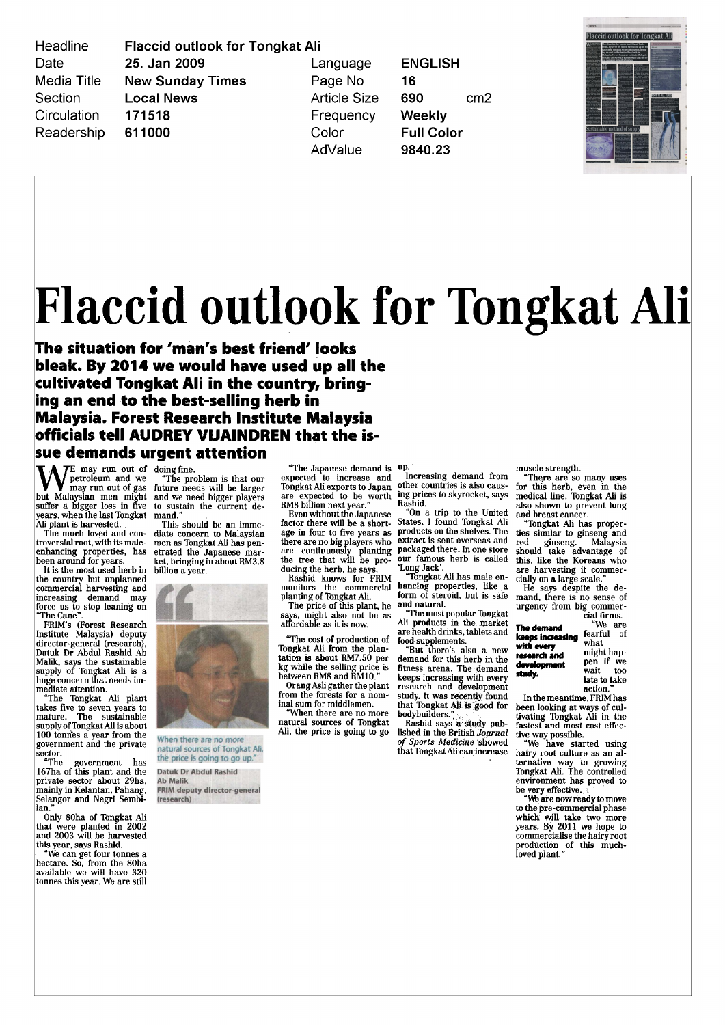Headline Date **Media Title** Section Circulation Readership **Flaccid outlook for Tongkat Ali** 25. Jan 2009 **New Sunday Times Local News** 171518 611000

Language Page No **Article Size** Frequency Color AdValue

**ENGLISH** 16 690  $cm<sub>2</sub>$ Weekly **Full Color** 9840.23



## Flaccid outlook for Tongkat Ali

The situation for 'man's best friend' looks bleak By 2014 we would have used up all the cultivated Tongkat Ali in the country, bringing an end to the best selling herb in Malaysia Forest Research Institute Malaysia officials tell AUDREY VIJAINDREN that the issue demands urgen<sup>t</sup> attention

 $\blacksquare$   $\blacksquare$   $\blacksquare$   $\blacksquare$   $\blacksquare$   $\blacksquare$   $\blacksquare$   $\blacksquare$   $\blacksquare$   $\blacksquare$   $\blacksquare$   $\blacksquare$   $\blacksquare$   $\blacksquare$   $\blacksquare$   $\blacksquare$   $\blacksquare$   $\blacksquare$   $\blacksquare$   $\blacksquare$   $\blacksquare$   $\blacksquare$   $\blacksquare$   $\blacksquare$   $\blacksquare$   $\blacksquare$   $\blacksquare$   $\blacksquare$   $\blacksquare$   $\blacksquare$   $\blacksquare$   $\blacks$ petroleum and we may run out of gas but Malaysian men might suffer <sup>a</sup> bigger loss in five years, when the last Tongkat<br>Ali plant is harvested.

The much loved and con troversial root, with its maleenhancing properties, has<br>been around for years.

It is the most used herb in the country but unplanned commercial harvesting and increasing demand may force us to stop leaning on The Cane

PMM <sup>s</sup> Forest Research Institute Malaysia deputy director-general (research), Datuk Dr Abdul Rashid Ab Malik says the sustainable supply of Tongkat Ali is <sup>a</sup> huge concern that needs im mediate attention

The Tongkat All plant takes five to seven years to mature. The sustainable<br>supply of Tongkat Ali is about 100 tonrfes <sup>a</sup> year from the governmen<sup>t</sup> and the private sector.

The governmen<sup>t</sup> has 167ha of this plant and the private sector about 29ha mainly in Kelantan, Pahang, Selangor and Negri Sembi lan

Only 80ha of Tongkat Ali that were planted in 2002 and 2003 will be harvested this year, says Rashid.

We can ge<sup>t</sup> four tonnes <sup>a</sup> hectare So from the 80ha available we will have 320 tonnes this year. We are still

The problem is that our future needs will be larger and we need bigger players to sustain the current de

mand<sup>3</sup> This should be an imme diate concern to Malaysian men as Tongkat Ali has pen etrated the Japanese mar en also me superiest man. billion <sup>a</sup> year



natural sources of Tongkat Ali the price is going to go up."

Datuk Dr Abdul Rashid **Ab Malik** FRIM deputy director-general esearch)

The Japanese demand is up expected to increase and Tongkat Ali exports to Japan expected to be worth RM8 billion next year

Even without the Japanese factor there will be <sup>a</sup> short age in four to five years as there are no big players who<br>are continuously planting<br>the tree that will be pro-<br>ducing the herb, he says.<br>Rashid knows for FRIM<br>monitors the commercial<br>planting of Tongkat All.

The price of this plant, he says, might also not be as<br>affordable as it is now

The cost of production of Tongkat Ali from the plan tation is about RM7 50 per kg while the selling price is between RM8 and RM10.

Orang Asli gather the plant from the forests for <sup>a</sup> nom inal sum for middlemen

When there are no more natural sources of Tongkat Ali, the price is going to go

Increasing demand from other countries is also caus ing prices to skyrocket, says<br>Rashid

On <sup>a</sup> trip to the United States, I found Tongkat Ali<br>products on the shelves. The extract is sent overseas and packaged there. In one store our famous herb is called Long Jack

"Tongkat Ali has male enhancing properties, like a<br>form of steroid, but is safe and natural

The most popular Tongkat AH products in the market are health drinks tablets and food supplements But there <sup>s</sup> also <sup>a</sup> new

demand for this herb in the fitness arena. The demand keeps increasing with every research and development study. It was recently found that Tongkat Ali is good for<br>bodybuilders."

Rashid says <sup>a</sup> stady pub lished in the British Journal Sports Medicine showed that Tongkat Ali can increase muscle strength

There are so many uses for this herb, even in the medical line. Tongkat Ali is also shown to preven<sup>t</sup> lung

and breast cancer Tongkat Ali has proper ties similar to ginseng and<br>red ginseng. Malaysia red ginseng Malaysia should take advantage of this like the Koreans who are harvesting it commer cially on <sup>a</sup> large scale

He says despite the de mand there is no sense of urgency from big commer cial firms

The demand "We are<br>**keeps increasing** fearful of keeps increasing Iearn<br>with every with every<br>research and might hap-<br>pen if we development pen if we<br>study, wait too wait late to take

action In the meantime, FRIM has been looking at ways of cul tivating Tongkat Ali in the fastest and most cost effec

tive way possible We have started using hairy root culture as an al ternative way to growing Tongkat Ali The controlled environment has proved to

be very effective.<br>We are now ready to move to the pre commerclal phase which will take two more years. By 2011 we hope to<br>commercialise the hairy root production of this much loved plant